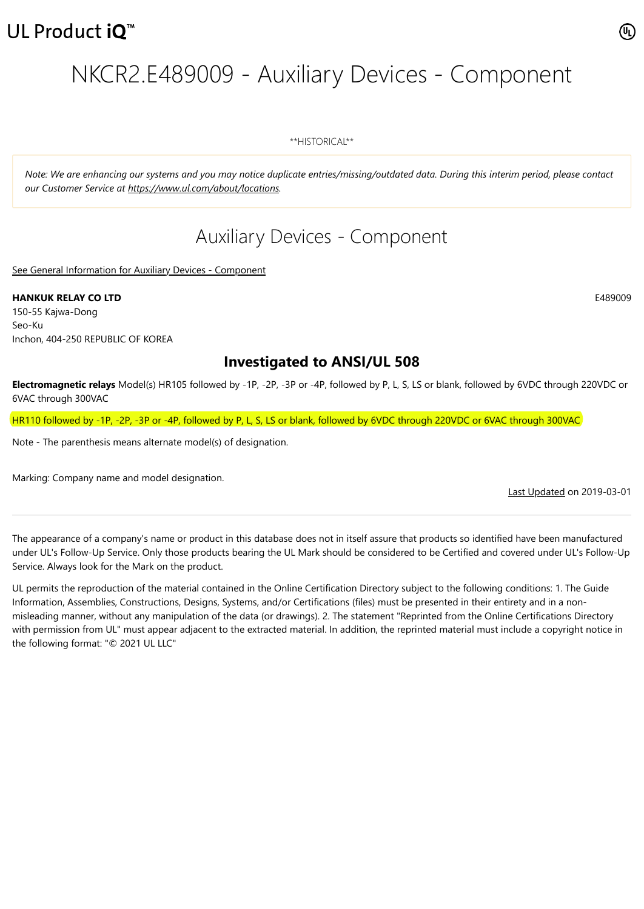# NKCR2.E489009 - Auxiliary Devices - Component

\*\*HISTORICAL\*\*

*Note: We are enhancing our systems and you may notice duplicate entries/missing/outdated data. During this interim period, please contact our Customer Service at <https://www.ul.com/about/locations>.*

## Auxiliary Devices - Component

[See General Information for Auxiliary Devices - Component](https://iq.ulprospector.com/cgi-bin/XYV/template/LISEXT/1FRAME/showpage.html?&name=NKCR2.GuideInfo&ccnshorttitle=Auxiliary+Devices+-+Component&objid=1073760388&cfgid=1073741824&version=versionless&parent_id=1073760387&sequence=1)

**HANKUK RELAY CO LTD** E489009 150-55 Kajwa-Dong Seo-Ku Inchon, 404-250 REPUBLIC OF KOREA

### **Investigated to ANSI/UL 508**

**Electromagnetic relays** Model(s) HR105 followed by -1P, -2P, -3P or -4P, followed by P, L, S, LS or blank, followed by 6VDC through 220VDC or 6VAC through 300VAC

HR110 followed by -1P, -2P, -3P or -4P, followed by P, L, S, LS or blank, followed by 6VDC through 220VDC or 6VAC through 300VAC

Note - The parenthesis means alternate model(s) of designation.

Marking: Company name and model designation.

[Last Updated](javascript:openit() on 2019-03-01

The appearance of a company's name or product in this database does not in itself assure that products so identified have been manufactured under UL's Follow-Up Service. Only those products bearing the UL Mark should be considered to be Certified and covered under UL's Follow-Up Service. Always look for the Mark on the product.

UL permits the reproduction of the material contained in the Online Certification Directory subject to the following conditions: 1. The Guide Information, Assemblies, Constructions, Designs, Systems, and/or Certifications (files) must be presented in their entirety and in a nonmisleading manner, without any manipulation of the data (or drawings). 2. The statement "Reprinted from the Online Certifications Directory with permission from UL" must appear adjacent to the extracted material. In addition, the reprinted material must include a copyright notice in the following format: "© 2021 UL LLC"

矶